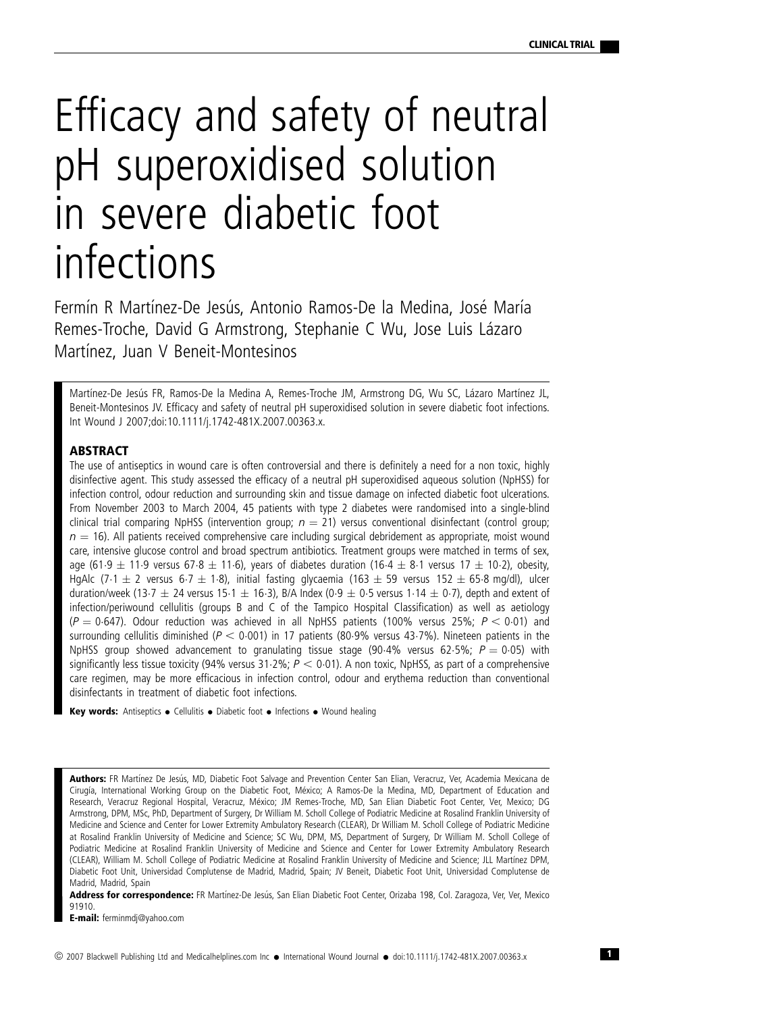# Efficacy and safety of neutral pH superoxidised solution in severe diabetic foot infections

Fermín R Martínez-De Jesús, Antonio Ramos-De la Medina, José María Remes-Troche, David G Armstrong, Stephanie C Wu, Jose Luis Lázaro Martínez, Juan V Beneit-Montesinos

Martínez-De Jesús FR, Ramos-De la Medina A, Remes-Troche JM, Armstrong DG, Wu SC, Lázaro Martínez JL, Beneit-Montesinos JV. Efficacy and safety of neutral pH superoxidised solution in severe diabetic foot infections. Int Wound J 2007;doi:10.1111/j.1742-481X.2007.00363.x.

# **ABSTRACT**

The use of antiseptics in wound care is often controversial and there is definitely a need for a non toxic, highly disinfective agent. This study assessed the efficacy of a neutral pH superoxidised aqueous solution (NpHSS) for infection control, odour reduction and surrounding skin and tissue damage on infected diabetic foot ulcerations. From November 2003 to March 2004, 45 patients with type 2 diabetes were randomised into a single-blind clinical trial comparing NpHSS (intervention group;  $n = 21$ ) versus conventional disinfectant (control group;  $n = 16$ ). All patients received comprehensive care including surgical debridement as appropriate, moist wound care, intensive glucose control and broad spectrum antibiotics. Treatment groups were matched in terms of sex, age (61 $\cdot$ 9  $\pm$  11 $\cdot$ 9 versus 67 $\cdot$ 8  $\pm$  11 $\cdot$ 6), years of diabetes duration (16 $\cdot$ 4  $\pm$  8 $\cdot$ 1 versus 17  $\pm$  10 $\cdot$ 2), obesity, HgAlc (7 $\cdot$ 1  $\pm$  2 versus 6 $\cdot$ 7  $\pm$  1 $\cdot$ 8), initial fasting glycaemia (163  $\pm$  59 versus 152  $\pm$  65 $\cdot$ 8 mg/dl), ulcer duration/week (13 $\cdot$ 7  $\pm$  24 versus 15 $\cdot$ 1  $\pm$  16 $\cdot$ 3), B/A Index (0 $\cdot$ 9  $\pm$  0 $\cdot$ 5 versus 1 $\cdot$ 14  $\pm$  0 $\cdot$ 7), depth and extent of infection/periwound cellulitis (groups B and C of the Tampico Hospital Classification) as well as aetiology  $(P = 0.647)$ . Odour reduction was achieved in all NpHSS patients (100% versus 25%;  $P < 0.01$ ) and surrounding cellulitis diminished ( $P < 0.001$ ) in 17 patients (80.9% versus 43.7%). Nineteen patients in the NpHSS group showed advancement to granulating tissue stage (90.4% versus 62.5%;  $P = 0.05$ ) with significantly less tissue toxicity (94% versus 31.2%;  $P < 0.01$ ). A non toxic, NpHSS, as part of a comprehensive care regimen, may be more efficacious in infection control, odour and erythema reduction than conventional disinfectants in treatment of diabetic foot infections.

Key words: Antiseptics • Cellulitis • Diabetic foot • Infections • Wound healing

Address for correspondence: FR Martínez-De Jesús, San Elian Diabetic Foot Center, Orizaba 198, Col. Zaragoza, Ver, Ver, Mexico 91910.

E-mail: ferminmdj@yahoo.com

Authors: FR Martínez De Jesús, MD, Diabetic Foot Salvage and Prevention Center San Elian, Veracruz, Ver, Academia Mexicana de Cirugía, International Working Group on the Diabetic Foot, México; A Ramos-De la Medina, MD, Department of Education and Research, Veracruz Regional Hospital, Veracruz, México; JM Remes-Troche, MD, San Elian Diabetic Foot Center, Ver, Mexico; DG Armstrong, DPM, MSc, PhD, Department of Surgery, Dr William M. Scholl College of Podiatric Medicine at Rosalind Franklin University of Medicine and Science and Center for Lower Extremity Ambulatory Research (CLEAR), Dr William M. Scholl College of Podiatric Medicine at Rosalind Franklin University of Medicine and Science; SC Wu, DPM, MS, Department of Surgery, Dr William M. Scholl College of Podiatric Medicine at Rosalind Franklin University of Medicine and Science and Center for Lower Extremity Ambulatory Research (CLEAR), William M. Scholl College of Podiatric Medicine at Rosalind Franklin University of Medicine and Science; JLL Martı´nez DPM, Diabetic Foot Unit, Universidad Complutense de Madrid, Madrid, Spain; JV Beneit, Diabetic Foot Unit, Universidad Complutense de Madrid, Madrid, Spain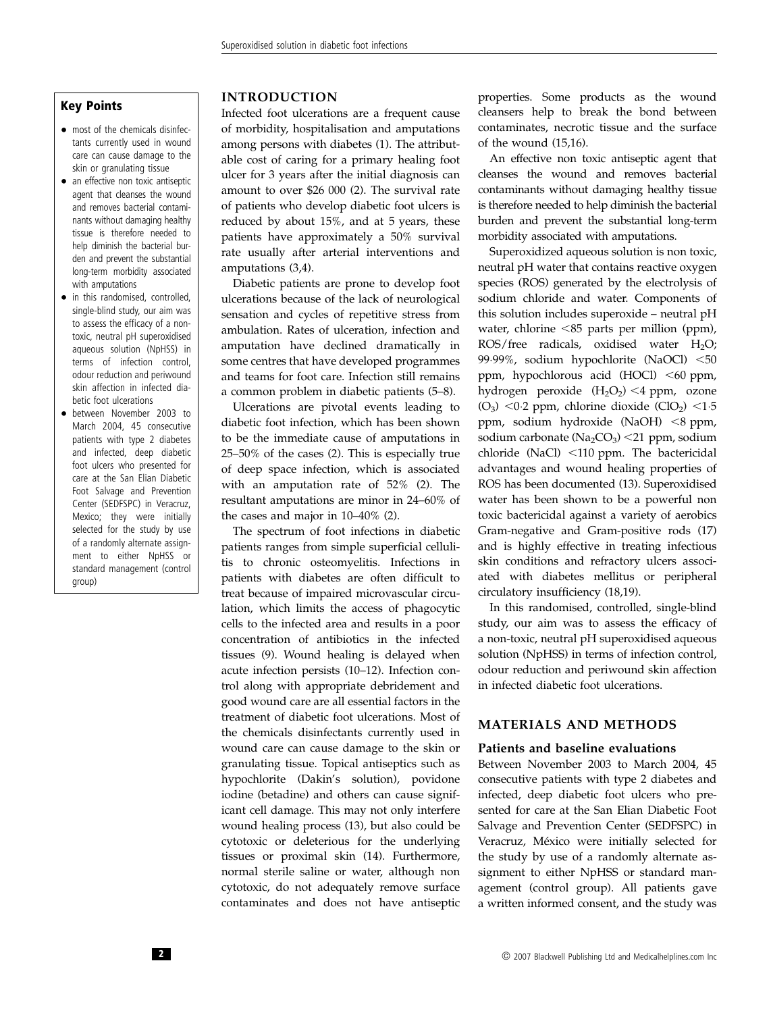- most of the chemicals disinfectants currently used in wound care can cause damage to the skin or granulating tissue
- an effective non toxic antiseptic agent that cleanses the wound and removes bacterial contaminants without damaging healthy tissue is therefore needed to help diminish the bacterial burden and prevent the substantial long-term morbidity associated with amputations
- in this randomised, controlled, single-blind study, our aim was to assess the efficacy of a nontoxic, neutral pH superoxidised aqueous solution (NpHSS) in terms of infection control, odour reduction and periwound skin affection in infected diabetic foot ulcerations
- between November 2003 to March 2004, 45 consecutive patients with type 2 diabetes and infected, deep diabetic foot ulcers who presented for care at the San Elian Diabetic Foot Salvage and Prevention Center (SEDFSPC) in Veracruz, Mexico; they were initially selected for the study by use of a randomly alternate assignment to either NpHSS or standard management (control group)

## INTRODUCTION

Infected foot ulcerations are a frequent cause of morbidity, hospitalisation and amputations among persons with diabetes (1). The attributable cost of caring for a primary healing foot ulcer for 3 years after the initial diagnosis can amount to over \$26 000 (2). The survival rate of patients who develop diabetic foot ulcers is reduced by about 15%, and at 5 years, these patients have approximately a 50% survival rate usually after arterial interventions and amputations (3,4).

Diabetic patients are prone to develop foot ulcerations because of the lack of neurological sensation and cycles of repetitive stress from ambulation. Rates of ulceration, infection and amputation have declined dramatically in some centres that have developed programmes and teams for foot care. Infection still remains a common problem in diabetic patients (5–8).

Ulcerations are pivotal events leading to diabetic foot infection, which has been shown to be the immediate cause of amputations in 25–50% of the cases (2). This is especially true of deep space infection, which is associated with an amputation rate of 52% (2). The resultant amputations are minor in 24–60% of the cases and major in 10–40% (2).

The spectrum of foot infections in diabetic patients ranges from simple superficial cellulitis to chronic osteomyelitis. Infections in patients with diabetes are often difficult to treat because of impaired microvascular circulation, which limits the access of phagocytic cells to the infected area and results in a poor concentration of antibiotics in the infected tissues (9). Wound healing is delayed when acute infection persists (10–12). Infection control along with appropriate debridement and good wound care are all essential factors in the treatment of diabetic foot ulcerations. Most of the chemicals disinfectants currently used in wound care can cause damage to the skin or granulating tissue. Topical antiseptics such as hypochlorite (Dakin's solution), povidone iodine (betadine) and others can cause significant cell damage. This may not only interfere wound healing process (13), but also could be cytotoxic or deleterious for the underlying tissues or proximal skin (14). Furthermore, normal sterile saline or water, although non cytotoxic, do not adequately remove surface contaminates and does not have antiseptic properties. Some products as the wound cleansers help to break the bond between contaminates, necrotic tissue and the surface of the wound  $(15,16)$ .

An effective non toxic antiseptic agent that cleanses the wound and removes bacterial contaminants without damaging healthy tissue is therefore needed to help diminish the bacterial burden and prevent the substantial long-term morbidity associated with amputations.

Superoxidized aqueous solution is non toxic, neutral pH water that contains reactive oxygen species (ROS) generated by the electrolysis of sodium chloride and water. Components of this solution includes superoxide – neutral pH water, chlorine  $\leq 85$  parts per million (ppm),  $ROS/free$  radicals, oxidised water  $H<sub>2</sub>O$ ; 99.99%, sodium hypochlorite (NaOCl)  $<$  50 ppm, hypochlorous acid  $(HOCI) < 60$  ppm, hydrogen peroxide  $(H_2O_2)$  <4 ppm, ozone (O<sub>3</sub>) <0.2 ppm, chlorine dioxide (ClO<sub>2</sub>) <1.5 ppm, sodium hydroxide  $(NaOH) < 8$  ppm, sodium carbonate ( $Na<sub>2</sub>CO<sub>3</sub>$ ) <21 ppm, sodium chloride (NaCl)  $\leq$ 110 ppm. The bactericidal advantages and wound healing properties of ROS has been documented (13). Superoxidised water has been shown to be a powerful non toxic bactericidal against a variety of aerobics Gram-negative and Gram-positive rods (17) and is highly effective in treating infectious skin conditions and refractory ulcers associated with diabetes mellitus or peripheral circulatory insufficiency (18,19).

In this randomised, controlled, single-blind study, our aim was to assess the efficacy of a non-toxic, neutral pH superoxidised aqueous solution (NpHSS) in terms of infection control, odour reduction and periwound skin affection in infected diabetic foot ulcerations.

# MATERIALS AND METHODS

## Patients and baseline evaluations

Between November 2003 to March 2004, 45 consecutive patients with type 2 diabetes and infected, deep diabetic foot ulcers who presented for care at the San Elian Diabetic Foot Salvage and Prevention Center (SEDFSPC) in Veracruz, México were initially selected for the study by use of a randomly alternate assignment to either NpHSS or standard management (control group). All patients gave a written informed consent, and the study was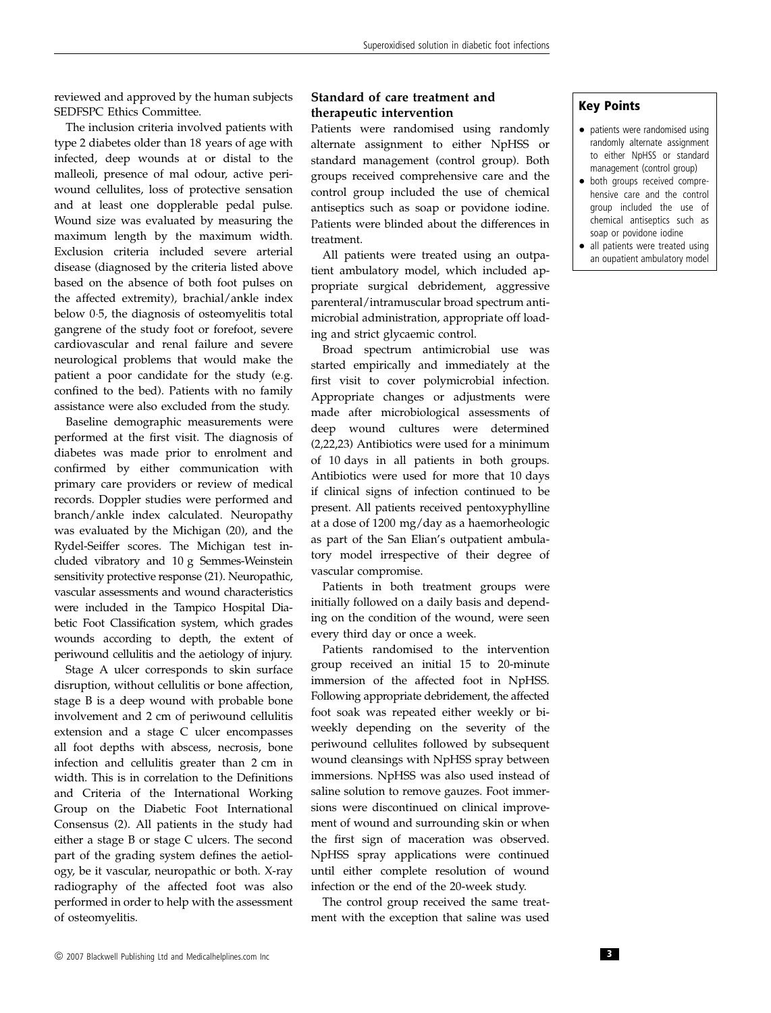reviewed and approved by the human subjects SEDFSPC Ethics Committee.

The inclusion criteria involved patients with type 2 diabetes older than 18 years of age with infected, deep wounds at or distal to the malleoli, presence of mal odour, active periwound cellulites, loss of protective sensation and at least one dopplerable pedal pulse. Wound size was evaluated by measuring the maximum length by the maximum width. Exclusion criteria included severe arterial disease (diagnosed by the criteria listed above based on the absence of both foot pulses on the affected extremity), brachial/ankle index below 05, the diagnosis of osteomyelitis total gangrene of the study foot or forefoot, severe cardiovascular and renal failure and severe neurological problems that would make the patient a poor candidate for the study (e.g. confined to the bed). Patients with no family assistance were also excluded from the study.

Baseline demographic measurements were performed at the first visit. The diagnosis of diabetes was made prior to enrolment and confirmed by either communication with primary care providers or review of medical records. Doppler studies were performed and branch/ankle index calculated. Neuropathy was evaluated by the Michigan (20), and the Rydel-Seiffer scores. The Michigan test included vibratory and 10 g Semmes-Weinstein sensitivity protective response (21). Neuropathic, vascular assessments and wound characteristics were included in the Tampico Hospital Diabetic Foot Classification system, which grades wounds according to depth, the extent of periwound cellulitis and the aetiology of injury.

Stage A ulcer corresponds to skin surface disruption, without cellulitis or bone affection, stage B is a deep wound with probable bone involvement and 2 cm of periwound cellulitis extension and a stage C ulcer encompasses all foot depths with abscess, necrosis, bone infection and cellulitis greater than 2 cm in width. This is in correlation to the Definitions and Criteria of the International Working Group on the Diabetic Foot International Consensus (2). All patients in the study had either a stage B or stage C ulcers. The second part of the grading system defines the aetiology, be it vascular, neuropathic or both. X-ray radiography of the affected foot was also performed in order to help with the assessment of osteomyelitis.

## Standard of care treatment and therapeutic intervention

Patients were randomised using randomly alternate assignment to either NpHSS or standard management (control group). Both groups received comprehensive care and the control group included the use of chemical antiseptics such as soap or povidone iodine. Patients were blinded about the differences in treatment.

All patients were treated using an outpatient ambulatory model, which included appropriate surgical debridement, aggressive parenteral/intramuscular broad spectrum antimicrobial administration, appropriate off loading and strict glycaemic control.

Broad spectrum antimicrobial use was started empirically and immediately at the first visit to cover polymicrobial infection. Appropriate changes or adjustments were made after microbiological assessments of deep wound cultures were determined (2,22,23) Antibiotics were used for a minimum of 10 days in all patients in both groups. Antibiotics were used for more that 10 days if clinical signs of infection continued to be present. All patients received pentoxyphylline at a dose of 1200 mg/day as a haemorheologic as part of the San Elian's outpatient ambulatory model irrespective of their degree of vascular compromise.

Patients in both treatment groups were initially followed on a daily basis and depending on the condition of the wound, were seen every third day or once a week.

Patients randomised to the intervention group received an initial 15 to 20-minute immersion of the affected foot in NpHSS. Following appropriate debridement, the affected foot soak was repeated either weekly or biweekly depending on the severity of the periwound cellulites followed by subsequent wound cleansings with NpHSS spray between immersions. NpHSS was also used instead of saline solution to remove gauzes. Foot immersions were discontinued on clinical improvement of wound and surrounding skin or when the first sign of maceration was observed. NpHSS spray applications were continued until either complete resolution of wound infection or the end of the 20-week study.

The control group received the same treatment with the exception that saline was used

- patients were randomised using randomly alternate assignment to either NpHSS or standard management (control group)
- both groups received comprehensive care and the control group included the use of chemical antiseptics such as soap or povidone iodine
- all patients were treated using an oupatient ambulatory model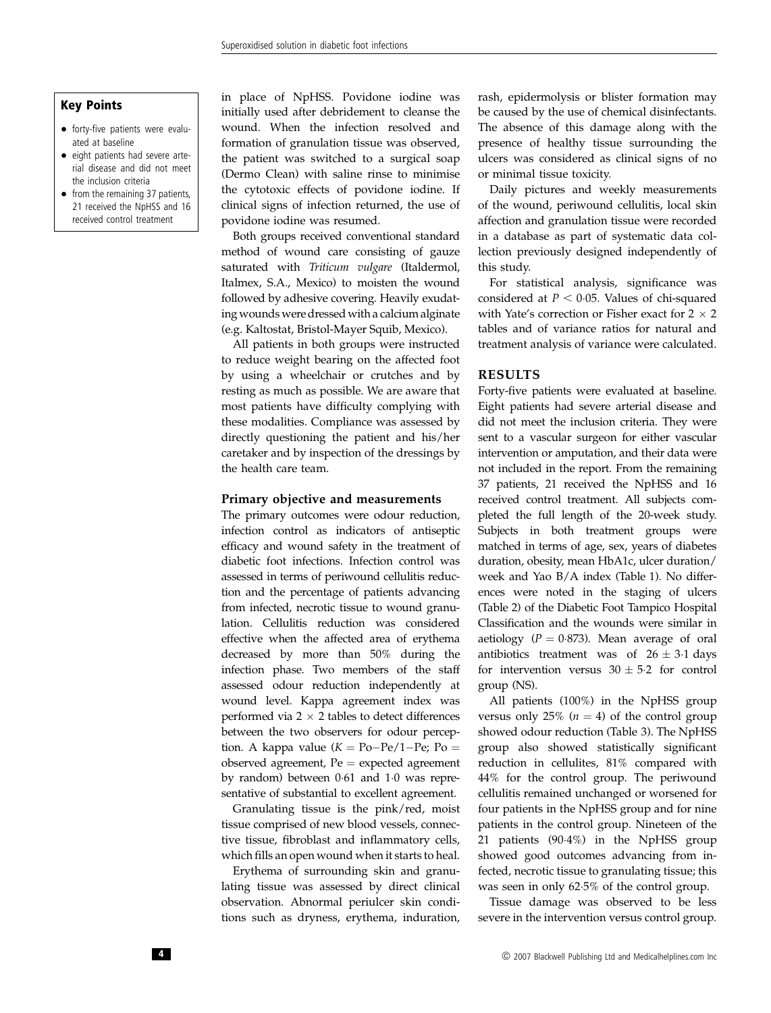- forty-five patients were evaluated at baseline
- eight patients had severe arterial disease and did not meet the inclusion criteria
- from the remaining 37 patients, 21 received the NpHSS and 16 received control treatment

in place of NpHSS. Povidone iodine was initially used after debridement to cleanse the wound. When the infection resolved and formation of granulation tissue was observed, the patient was switched to a surgical soap (Dermo Clean) with saline rinse to minimise the cytotoxic effects of povidone iodine. If clinical signs of infection returned, the use of povidone iodine was resumed.

Both groups received conventional standard method of wound care consisting of gauze saturated with Triticum vulgare (Italdermol, Italmex, S.A., Mexico) to moisten the wound followed by adhesive covering. Heavily exudating wounds were dressed with a calcium alginate (e.g. Kaltostat, Bristol-Mayer Squib, Mexico).

All patients in both groups were instructed to reduce weight bearing on the affected foot by using a wheelchair or crutches and by resting as much as possible. We are aware that most patients have difficulty complying with these modalities. Compliance was assessed by directly questioning the patient and his/her caretaker and by inspection of the dressings by the health care team.

#### Primary objective and measurements

The primary outcomes were odour reduction, infection control as indicators of antiseptic efficacy and wound safety in the treatment of diabetic foot infections. Infection control was assessed in terms of periwound cellulitis reduction and the percentage of patients advancing from infected, necrotic tissue to wound granulation. Cellulitis reduction was considered effective when the affected area of erythema decreased by more than 50% during the infection phase. Two members of the staff assessed odour reduction independently at wound level. Kappa agreement index was performed via 2  $\times$  2 tables to detect differences between the two observers for odour perception. A kappa value  $(K = Po-Pe/1-Pe; Po =$ observed agreement,  $Pe =$  expected agreement by random) between 061 and 10 was representative of substantial to excellent agreement.

Granulating tissue is the pink/red, moist tissue comprised of new blood vessels, connective tissue, fibroblast and inflammatory cells, which fills an open wound when it starts to heal.

Erythema of surrounding skin and granulating tissue was assessed by direct clinical observation. Abnormal periulcer skin conditions such as dryness, erythema, induration,

rash, epidermolysis or blister formation may be caused by the use of chemical disinfectants. The absence of this damage along with the presence of healthy tissue surrounding the ulcers was considered as clinical signs of no or minimal tissue toxicity.

Daily pictures and weekly measurements of the wound, periwound cellulitis, local skin affection and granulation tissue were recorded in a database as part of systematic data collection previously designed independently of this study.

For statistical analysis, significance was considered at  $P < 0.05$ . Values of chi-squared with Yate's correction or Fisher exact for  $2 \times 2$ tables and of variance ratios for natural and treatment analysis of variance were calculated.

## RESULTS

Forty-five patients were evaluated at baseline. Eight patients had severe arterial disease and did not meet the inclusion criteria. They were sent to a vascular surgeon for either vascular intervention or amputation, and their data were not included in the report. From the remaining 37 patients, 21 received the NpHSS and 16 received control treatment. All subjects completed the full length of the 20-week study. Subjects in both treatment groups were matched in terms of age, sex, years of diabetes duration, obesity, mean HbA1c, ulcer duration/ week and Yao B/A index (Table 1). No differences were noted in the staging of ulcers (Table 2) of the Diabetic Foot Tampico Hospital Classification and the wounds were similar in aetiology ( $P = 0.873$ ). Mean average of oral antibiotics treatment was of  $26 \pm 3.1$  days for intervention versus  $30 \pm 5.2$  for control group (NS).

All patients (100%) in the NpHSS group versus only 25% ( $n = 4$ ) of the control group showed odour reduction (Table 3). The NpHSS group also showed statistically significant reduction in cellulites, 81% compared with 44% for the control group. The periwound cellulitis remained unchanged or worsened for four patients in the NpHSS group and for nine patients in the control group. Nineteen of the 21 patients (904%) in the NpHSS group showed good outcomes advancing from infected, necrotic tissue to granulating tissue; this was seen in only 625% of the control group.

Tissue damage was observed to be less severe in the intervention versus control group.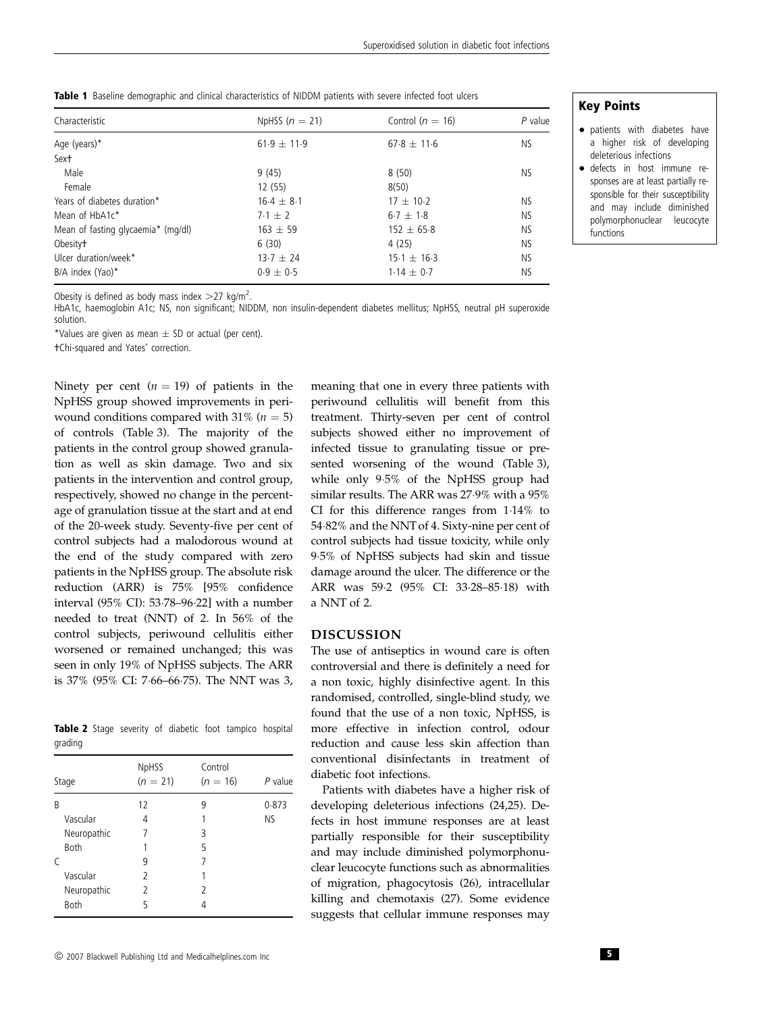| Table 1 Baseline demographic and clinical characteristics of NIDDM patients with severe infected foot ulcers |  |
|--------------------------------------------------------------------------------------------------------------|--|
|--------------------------------------------------------------------------------------------------------------|--|

| Characteristic                     | NpHSS $(n = 21)$ | Control ( $n = 16$ ) | $P$ value |
|------------------------------------|------------------|----------------------|-----------|
| Age (years)*                       | $61.9 \pm 11.9$  | $67.8 \pm 11.6$      | <b>NS</b> |
| Sex <sup>+</sup>                   |                  |                      |           |
| Male                               | 9(45)            | 8(50)                | <b>NS</b> |
| Female                             | 12(55)           | 8(50)                |           |
| Years of diabetes duration*        | $16.4 + 8.1$     | $17 + 10.2$          | <b>NS</b> |
| Mean of HbA1c*                     | $7.1 + 2$        | $6.7 + 1.8$          | <b>NS</b> |
| Mean of fasting glycaemia* (mg/dl) | $163 + 59$       | $152 + 65.8$         | <b>NS</b> |
| Obesity <sup>+</sup>               | 6(30)            | 4(25)                | <b>NS</b> |
| Ulcer duration/week*               | $13.7 + 24$      | $15.1 + 16.3$        | <b>NS</b> |
| B/A index (Yao)*                   | $0.9 + 0.5$      | $1.14 + 0.7$         | <b>NS</b> |

Obesity is defined as body mass index  $>$ 27 kg/m<sup>2</sup>.

HbA1c, haemoglobin A1c; NS, non significant; NIDDM, non insulin-dependent diabetes mellitus; NpHSS, neutral pH superoxide solution.

\*Values are given as mean  $\pm$  SD or actual (per cent).

†Chi-squared and Yates' correction.

Ninety per cent ( $n = 19$ ) of patients in the NpHSS group showed improvements in periwound conditions compared with 31% ( $n = 5$ ) of controls (Table 3). The majority of the patients in the control group showed granulation as well as skin damage. Two and six patients in the intervention and control group, respectively, showed no change in the percentage of granulation tissue at the start and at end of the 20-week study. Seventy-five per cent of control subjects had a malodorous wound at the end of the study compared with zero patients in the NpHSS group. The absolute risk reduction (ARR) is 75% [95% confidence interval (95% CI): 53-78-96-22] with a number needed to treat (NNT) of 2. In 56% of the control subjects, periwound cellulitis either worsened or remained unchanged; this was seen in only 19% of NpHSS subjects. The ARR is 37% (95% CI: 7.66–66.75). The NNT was 3,

| Table 2 Stage severity of diabetic foot tampico hospital |  |  |  |  |
|----------------------------------------------------------|--|--|--|--|
| grading                                                  |  |  |  |  |

| Stage       | <b>NpHSS</b><br>$(n = 21)$ | Control<br>$(n = 16)$ | P value |  |
|-------------|----------------------------|-----------------------|---------|--|
| B           | 12                         | 9                     | 0.873   |  |
| Vascular    | 4                          |                       | NS.     |  |
| Neuropathic |                            | 3                     |         |  |
| Both        | 1                          | 5                     |         |  |
| C           | 9                          | 7                     |         |  |
| Vascular    | 2                          |                       |         |  |
| Neuropathic | 2                          | 2                     |         |  |
| Both        | 5                          | 4                     |         |  |
|             |                            |                       |         |  |

meaning that one in every three patients with periwound cellulitis will benefit from this treatment. Thirty-seven per cent of control subjects showed either no improvement of infected tissue to granulating tissue or presented worsening of the wound (Table 3), while only 95% of the NpHSS group had similar results. The ARR was 279% with a 95% CI for this difference ranges from 114% to 54.82% and the NNT of 4. Sixty-nine per cent of control subjects had tissue toxicity, while only 95% of NpHSS subjects had skin and tissue damage around the ulcer. The difference or the ARR was 592 (95% CI: 3328–8518) with a NNT of 2.

## DISCUSSION

The use of antiseptics in wound care is often controversial and there is definitely a need for a non toxic, highly disinfective agent. In this randomised, controlled, single-blind study, we found that the use of a non toxic, NpHSS, is more effective in infection control, odour reduction and cause less skin affection than conventional disinfectants in treatment of diabetic foot infections.

Patients with diabetes have a higher risk of developing deleterious infections (24,25). Defects in host immune responses are at least partially responsible for their susceptibility and may include diminished polymorphonuclear leucocyte functions such as abnormalities of migration, phagocytosis (26), intracellular killing and chemotaxis (27). Some evidence suggests that cellular immune responses may

- patients with diabetes have a higher risk of developing deleterious infections
- defects in host immune responses are at least partially responsible for their susceptibility and may include diminished polymorphonuclear leucocyte functions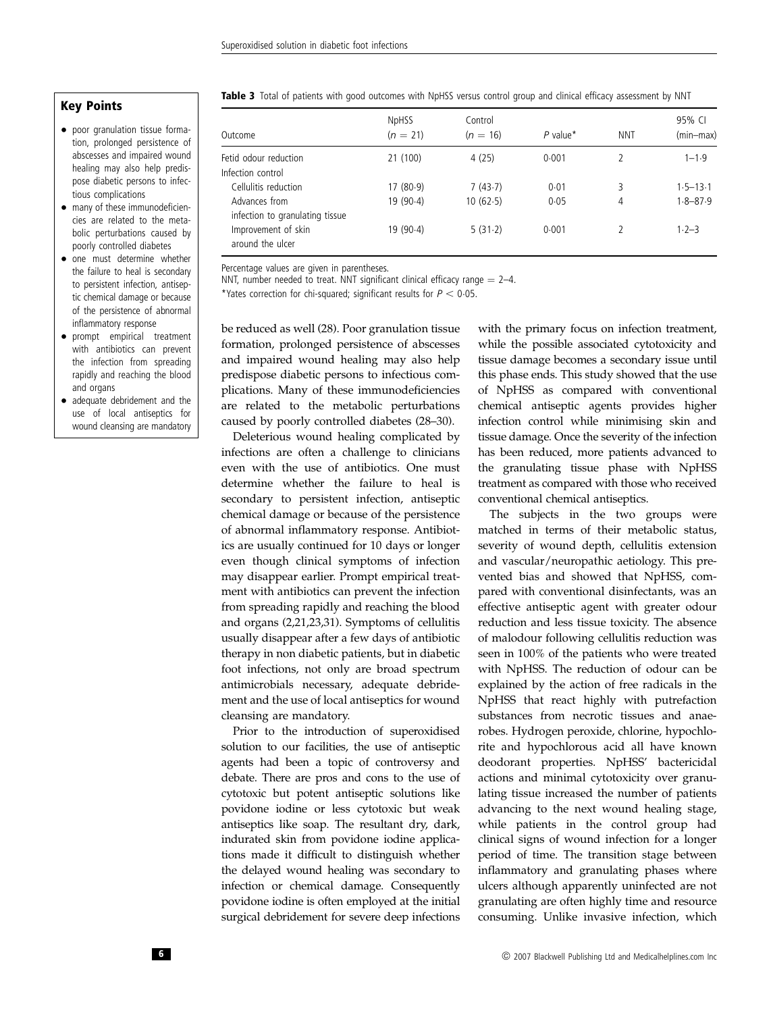- poor granulation tissue formation, prolonged persistence of abscesses and impaired wound healing may also help predispose diabetic persons to infectious complications
- many of these immunodeficiencies are related to the metabolic perturbations caused by poorly controlled diabetes
- one must determine whether the failure to heal is secondary to persistent infection, antiseptic chemical damage or because of the persistence of abnormal inflammatory response
- prompt empirical treatment with antibiotics can prevent the infection from spreading rapidly and reaching the blood and organs
- adequate debridement and the use of local antiseptics for wound cleansing are mandatory

Table 3 Total of patients with good outcomes with NpHSS versus control group and clinical efficacy assessment by NNT

| Outcome                                 | <b>NpHSS</b><br>$(n = 21)$ | Control<br>$(n = 16)$ | $P$ value <sup>*</sup> | <b>NNT</b> | 95% CI<br>(min-max) |
|-----------------------------------------|----------------------------|-----------------------|------------------------|------------|---------------------|
| Fetid odour reduction                   | 21 (100)                   | 4(25)                 | 0.001                  | 2          | $1 - 1.9$           |
| Infection control                       |                            |                       |                        |            |                     |
| Cellulitis reduction                    | 17(80.9)                   | 7(43.7)               | 0.01                   | 3          | $1.5 - 13.1$        |
| Advances from                           | 19(90.4)                   | 10(62.5)              | 0.05                   | 4          | $1.8 - 87.9$        |
| infection to granulating tissue         |                            |                       |                        |            |                     |
| Improvement of skin<br>around the ulcer | 19(90.4)                   | 5(31.2)               | 0.001                  |            | $1-2-3$             |

Percentage values are given in parentheses.

NNT, number needed to treat. NNT significant clinical efficacy range  $= 2-4$ .

\*Yates correction for chi-squared; significant results for  $P < 0.05$ .

be reduced as well (28). Poor granulation tissue formation, prolonged persistence of abscesses and impaired wound healing may also help predispose diabetic persons to infectious complications. Many of these immunodeficiencies are related to the metabolic perturbations caused by poorly controlled diabetes (28–30).

Deleterious wound healing complicated by infections are often a challenge to clinicians even with the use of antibiotics. One must determine whether the failure to heal is secondary to persistent infection, antiseptic chemical damage or because of the persistence of abnormal inflammatory response. Antibiotics are usually continued for 10 days or longer even though clinical symptoms of infection may disappear earlier. Prompt empirical treatment with antibiotics can prevent the infection from spreading rapidly and reaching the blood and organs (2,21,23,31). Symptoms of cellulitis usually disappear after a few days of antibiotic therapy in non diabetic patients, but in diabetic foot infections, not only are broad spectrum antimicrobials necessary, adequate debridement and the use of local antiseptics for wound cleansing are mandatory.

Prior to the introduction of superoxidised solution to our facilities, the use of antiseptic agents had been a topic of controversy and debate. There are pros and cons to the use of cytotoxic but potent antiseptic solutions like povidone iodine or less cytotoxic but weak antiseptics like soap. The resultant dry, dark, indurated skin from povidone iodine applications made it difficult to distinguish whether the delayed wound healing was secondary to infection or chemical damage. Consequently povidone iodine is often employed at the initial surgical debridement for severe deep infections with the primary focus on infection treatment, while the possible associated cytotoxicity and tissue damage becomes a secondary issue until this phase ends. This study showed that the use of NpHSS as compared with conventional chemical antiseptic agents provides higher infection control while minimising skin and tissue damage. Once the severity of the infection has been reduced, more patients advanced to the granulating tissue phase with NpHSS treatment as compared with those who received conventional chemical antiseptics.

The subjects in the two groups were matched in terms of their metabolic status, severity of wound depth, cellulitis extension and vascular/neuropathic aetiology. This prevented bias and showed that NpHSS, compared with conventional disinfectants, was an effective antiseptic agent with greater odour reduction and less tissue toxicity. The absence of malodour following cellulitis reduction was seen in 100% of the patients who were treated with NpHSS. The reduction of odour can be explained by the action of free radicals in the NpHSS that react highly with putrefaction substances from necrotic tissues and anaerobes. Hydrogen peroxide, chlorine, hypochlorite and hypochlorous acid all have known deodorant properties. NpHSS' bactericidal actions and minimal cytotoxicity over granulating tissue increased the number of patients advancing to the next wound healing stage, while patients in the control group had clinical signs of wound infection for a longer period of time. The transition stage between inflammatory and granulating phases where ulcers although apparently uninfected are not granulating are often highly time and resource consuming. Unlike invasive infection, which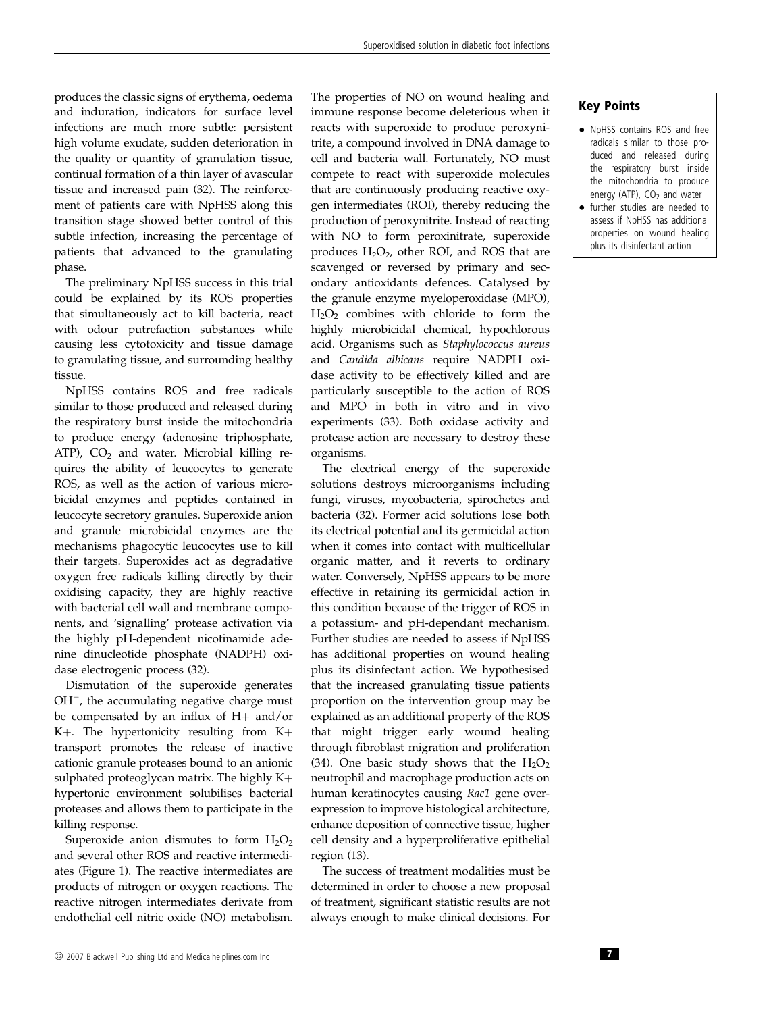produces the classic signs of erythema, oedema and induration, indicators for surface level infections are much more subtle: persistent high volume exudate, sudden deterioration in the quality or quantity of granulation tissue, continual formation of a thin layer of avascular tissue and increased pain (32). The reinforcement of patients care with NpHSS along this transition stage showed better control of this subtle infection, increasing the percentage of patients that advanced to the granulating phase.

The preliminary NpHSS success in this trial could be explained by its ROS properties that simultaneously act to kill bacteria, react with odour putrefaction substances while causing less cytotoxicity and tissue damage to granulating tissue, and surrounding healthy tissue.

NpHSS contains ROS and free radicals similar to those produced and released during the respiratory burst inside the mitochondria to produce energy (adenosine triphosphate, ATP),  $CO<sub>2</sub>$  and water. Microbial killing requires the ability of leucocytes to generate ROS, as well as the action of various microbicidal enzymes and peptides contained in leucocyte secretory granules. Superoxide anion and granule microbicidal enzymes are the mechanisms phagocytic leucocytes use to kill their targets. Superoxides act as degradative oxygen free radicals killing directly by their oxidising capacity, they are highly reactive with bacterial cell wall and membrane components, and 'signalling' protease activation via the highly pH-dependent nicotinamide adenine dinucleotide phosphate (NADPH) oxidase electrogenic process (32).

Dismutation of the superoxide generates  $OH^-$ , the accumulating negative charge must be compensated by an influx of  $H+$  and/or K $+$ . The hypertonicity resulting from K $+$ transport promotes the release of inactive cationic granule proteases bound to an anionic sulphated proteoglycan matrix. The highly  $K+$ hypertonic environment solubilises bacterial proteases and allows them to participate in the killing response.

Superoxide anion dismutes to form  $H_2O_2$ and several other ROS and reactive intermediates (Figure 1). The reactive intermediates are products of nitrogen or oxygen reactions. The reactive nitrogen intermediates derivate from endothelial cell nitric oxide (NO) metabolism.

The properties of NO on wound healing and immune response become deleterious when it reacts with superoxide to produce peroxynitrite, a compound involved in DNA damage to cell and bacteria wall. Fortunately, NO must compete to react with superoxide molecules that are continuously producing reactive oxygen intermediates (ROI), thereby reducing the production of peroxynitrite. Instead of reacting with NO to form peroxinitrate, superoxide produces  $H_2O_2$ , other ROI, and ROS that are scavenged or reversed by primary and secondary antioxidants defences. Catalysed by the granule enzyme myeloperoxidase (MPO),  $H<sub>2</sub>O<sub>2</sub>$  combines with chloride to form the highly microbicidal chemical, hypochlorous acid. Organisms such as Staphylococcus aureus and Candida albicans require NADPH oxidase activity to be effectively killed and are particularly susceptible to the action of ROS and MPO in both in vitro and in vivo experiments (33). Both oxidase activity and protease action are necessary to destroy these organisms.

The electrical energy of the superoxide solutions destroys microorganisms including fungi, viruses, mycobacteria, spirochetes and bacteria (32). Former acid solutions lose both its electrical potential and its germicidal action when it comes into contact with multicellular organic matter, and it reverts to ordinary water. Conversely, NpHSS appears to be more effective in retaining its germicidal action in this condition because of the trigger of ROS in a potassium- and pH-dependant mechanism. Further studies are needed to assess if NpHSS has additional properties on wound healing plus its disinfectant action. We hypothesised that the increased granulating tissue patients proportion on the intervention group may be explained as an additional property of the ROS that might trigger early wound healing through fibroblast migration and proliferation (34). One basic study shows that the  $H_2O_2$ neutrophil and macrophage production acts on human keratinocytes causing Rac1 gene overexpression to improve histological architecture, enhance deposition of connective tissue, higher cell density and a hyperproliferative epithelial region (13).

The success of treatment modalities must be determined in order to choose a new proposal of treatment, significant statistic results are not always enough to make clinical decisions. For

## Key Points

- NpHSS contains ROS and free radicals similar to those produced and released during the respiratory burst inside the mitochondria to produce energy (ATP),  $CO<sub>2</sub>$  and water
- further studies are needed to assess if NpHSS has additional properties on wound healing plus its disinfectant action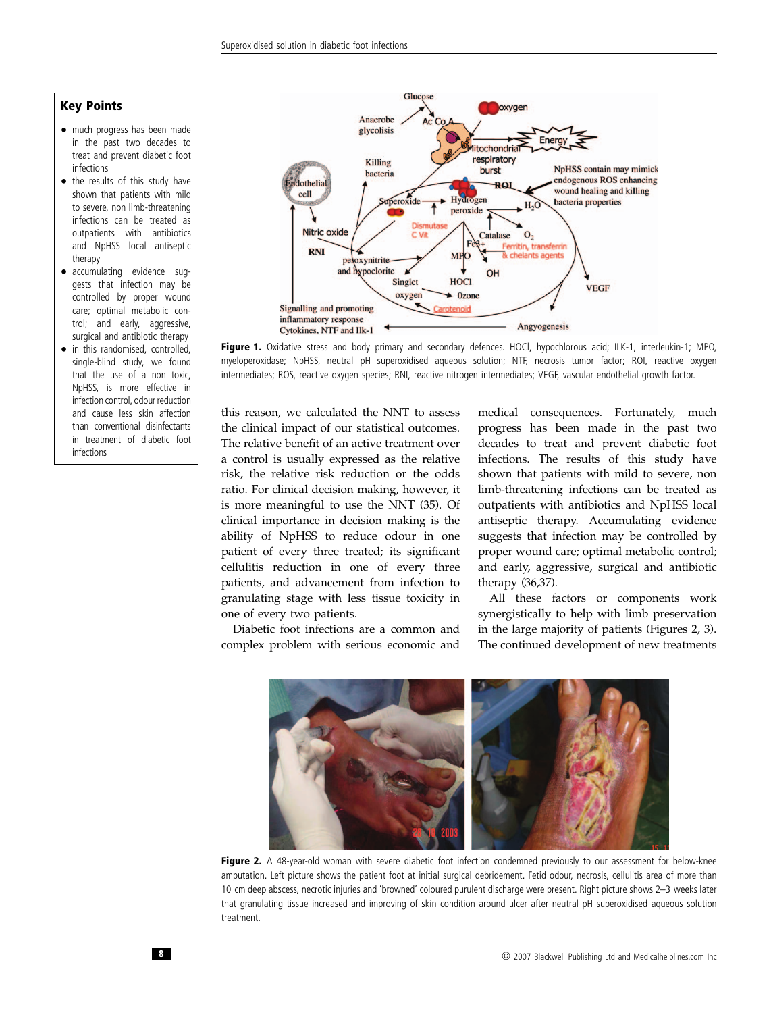- much progress has been made in the past two decades to treat and prevent diabetic foot infections
- the results of this study have shown that patients with mild to severe, non limb-threatening infections can be treated as outpatients with antibiotics and NpHSS local antiseptic therapy
- accumulating evidence suggests that infection may be controlled by proper wound care; optimal metabolic control; and early, aggressive, surgical and antibiotic therapy
- in this randomised, controlled, single-blind study, we found that the use of a non toxic, NpHSS, is more effective in infection control, odour reduction and cause less skin affection than conventional disinfectants in treatment of diabetic foot infections



Figure 1. Oxidative stress and body primary and secondary defences. HOCl, hypochlorous acid; ILK-1, interleukin-1; MPO, myeloperoxidase; NpHSS, neutral pH superoxidised aqueous solution; NTF, necrosis tumor factor; ROI, reactive oxygen intermediates; ROS, reactive oxygen species; RNI, reactive nitrogen intermediates; VEGF, vascular endothelial growth factor.

this reason, we calculated the NNT to assess the clinical impact of our statistical outcomes. The relative benefit of an active treatment over a control is usually expressed as the relative risk, the relative risk reduction or the odds ratio. For clinical decision making, however, it is more meaningful to use the NNT (35). Of clinical importance in decision making is the ability of NpHSS to reduce odour in one patient of every three treated; its significant cellulitis reduction in one of every three patients, and advancement from infection to granulating stage with less tissue toxicity in one of every two patients.

Diabetic foot infections are a common and complex problem with serious economic and

medical consequences. Fortunately, much progress has been made in the past two decades to treat and prevent diabetic foot infections. The results of this study have shown that patients with mild to severe, non limb-threatening infections can be treated as outpatients with antibiotics and NpHSS local antiseptic therapy. Accumulating evidence suggests that infection may be controlled by proper wound care; optimal metabolic control; and early, aggressive, surgical and antibiotic therapy (36,37).

All these factors or components work synergistically to help with limb preservation in the large majority of patients (Figures 2, 3). The continued development of new treatments



Figure 2. A 48-year-old woman with severe diabetic foot infection condemned previously to our assessment for below-knee amputation. Left picture shows the patient foot at initial surgical debridement. Fetid odour, necrosis, cellulitis area of more than 10 cm deep abscess, necrotic injuries and 'browned' coloured purulent discharge were present. Right picture shows 2–3 weeks later that granulating tissue increased and improving of skin condition around ulcer after neutral pH superoxidised aqueous solution treatment.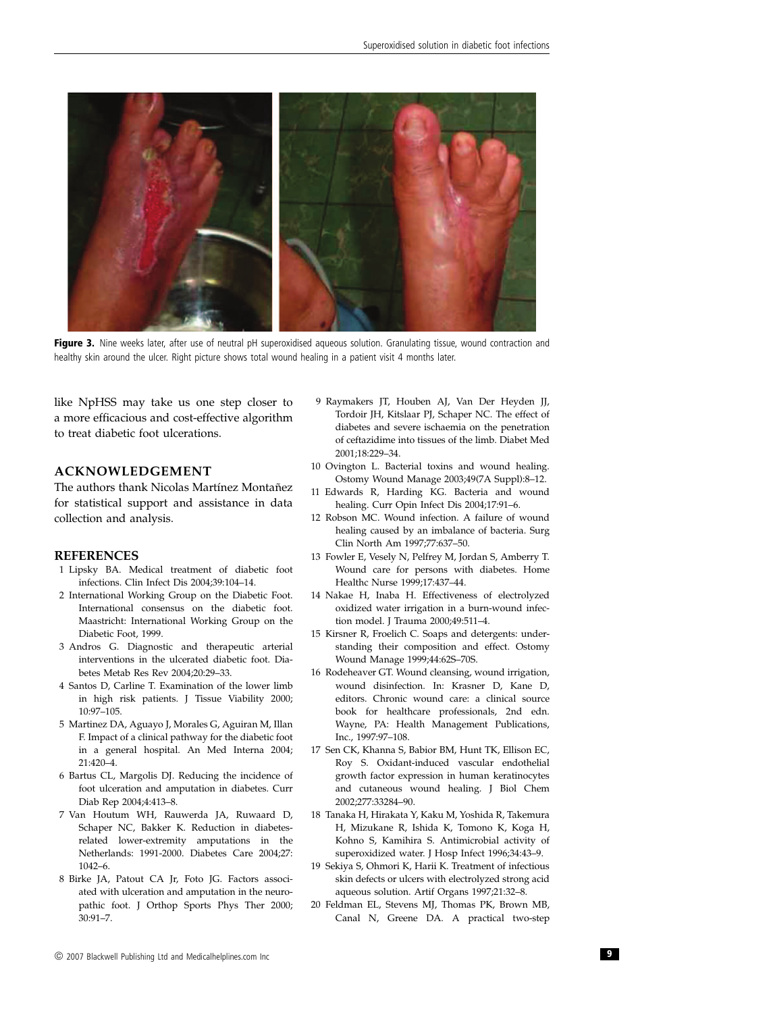

Figure 3. Nine weeks later, after use of neutral pH superoxidised aqueous solution. Granulating tissue, wound contraction and healthy skin around the ulcer. Right picture shows total wound healing in a patient visit 4 months later.

like NpHSS may take us one step closer to a more efficacious and cost-effective algorithm to treat diabetic foot ulcerations.

# ACKNOWLEDGEMENT

The authors thank Nicolas Martínez Montañez for statistical support and assistance in data collection and analysis.

## **REFERENCES**

- 1 Lipsky BA. Medical treatment of diabetic foot infections. Clin Infect Dis 2004;39:104–14.
- 2 International Working Group on the Diabetic Foot. International consensus on the diabetic foot. Maastricht: International Working Group on the Diabetic Foot, 1999.
- 3 Andros G. Diagnostic and therapeutic arterial interventions in the ulcerated diabetic foot. Diabetes Metab Res Rev 2004;20:29–33.
- 4 Santos D, Carline T. Examination of the lower limb in high risk patients. J Tissue Viability 2000; 10:97–105.
- 5 Martinez DA, Aguayo J, Morales G, Aguiran M, Illan F. Impact of a clinical pathway for the diabetic foot in a general hospital. An Med Interna 2004; 21:420–4.
- 6 Bartus CL, Margolis DJ. Reducing the incidence of foot ulceration and amputation in diabetes. Curr Diab Rep 2004;4:413–8.
- 7 Van Houtum WH, Rauwerda JA, Ruwaard D, Schaper NC, Bakker K. Reduction in diabetesrelated lower-extremity amputations in the Netherlands: 1991-2000. Diabetes Care 2004;27: 1042–6.
- 8 Birke JA, Patout CA Jr, Foto JG. Factors associated with ulceration and amputation in the neuropathic foot. J Orthop Sports Phys Ther 2000; 30:91–7.
- 9 Raymakers JT, Houben AJ, Van Der Heyden JJ, Tordoir JH, Kitslaar PJ, Schaper NC. The effect of diabetes and severe ischaemia on the penetration of ceftazidime into tissues of the limb. Diabet Med 2001;18:229–34.
- 10 Ovington L. Bacterial toxins and wound healing. Ostomy Wound Manage 2003;49(7A Suppl):8–12.
- 11 Edwards R, Harding KG. Bacteria and wound healing. Curr Opin Infect Dis 2004;17:91–6.
- 12 Robson MC. Wound infection. A failure of wound healing caused by an imbalance of bacteria. Surg Clin North Am 1997;77:637–50.
- 13 Fowler E, Vesely N, Pelfrey M, Jordan S, Amberry T. Wound care for persons with diabetes. Home Healthc Nurse 1999;17:437–44.
- 14 Nakae H, Inaba H. Effectiveness of electrolyzed oxidized water irrigation in a burn-wound infection model. J Trauma 2000;49:511–4.
- 15 Kirsner R, Froelich C. Soaps and detergents: understanding their composition and effect. Ostomy Wound Manage 1999;44:62S–70S.
- 16 Rodeheaver GT. Wound cleansing, wound irrigation, wound disinfection. In: Krasner D, Kane D, editors. Chronic wound care: a clinical source book for healthcare professionals, 2nd edn. Wayne, PA: Health Management Publications, Inc., 1997:97–108.
- 17 Sen CK, Khanna S, Babior BM, Hunt TK, Ellison EC, Roy S. Oxidant-induced vascular endothelial growth factor expression in human keratinocytes and cutaneous wound healing. J Biol Chem 2002;277:33284–90.
- 18 Tanaka H, Hirakata Y, Kaku M, Yoshida R, Takemura H, Mizukane R, Ishida K, Tomono K, Koga H, Kohno S, Kamihira S. Antimicrobial activity of superoxidized water. J Hosp Infect 1996;34:43-9.
- 19 Sekiya S, Ohmori K, Harii K. Treatment of infectious skin defects or ulcers with electrolyzed strong acid aqueous solution. Artif Organs 1997;21:32–8.
- 20 Feldman EL, Stevens MJ, Thomas PK, Brown MB, Canal N, Greene DA. A practical two-step